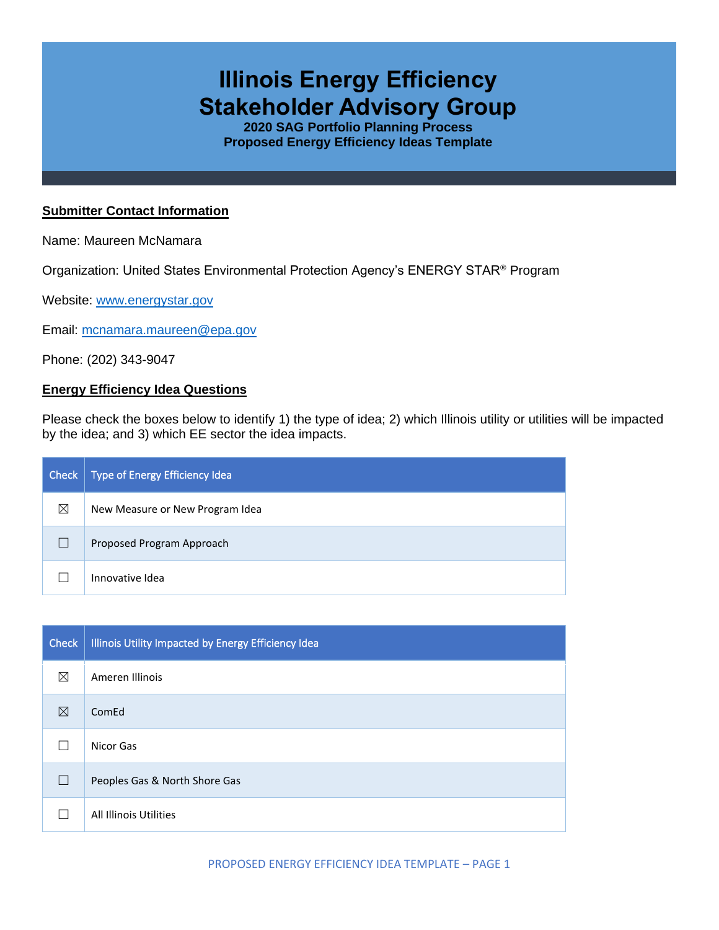# **Illinois Energy Efficiency Stakeholder Advisory Group**

**2020 SAG Portfolio Planning Process Proposed Energy Efficiency Ideas Template**

#### **Submitter Contact Information**

Name: Maureen McNamara

Organization: United States Environmental Protection Agency's ENERGY STAR® Program

Website: [www.energystar.gov](http://www.energystar.gov/)

Email: [mcnamara.maureen@epa.gov](mailto:mcnamara.maureen@epa.gov)

Phone: (202) 343-9047

#### **Energy Efficiency Idea Questions**

Please check the boxes below to identify 1) the type of idea; 2) which Illinois utility or utilities will be impacted by the idea; and 3) which EE sector the idea impacts.

| Check | Type of Energy Efficiency Idea  |
|-------|---------------------------------|
| ⊠     | New Measure or New Program Idea |
|       | Proposed Program Approach       |
|       | Innovative Idea                 |

| Check        | Illinois Utility Impacted by Energy Efficiency Idea |
|--------------|-----------------------------------------------------|
| ⊠            | Ameren Illinois                                     |
| ⊠            | ComEd                                               |
|              | Nicor Gas                                           |
| $\mathbf{I}$ | Peoples Gas & North Shore Gas                       |
|              | All Illinois Utilities                              |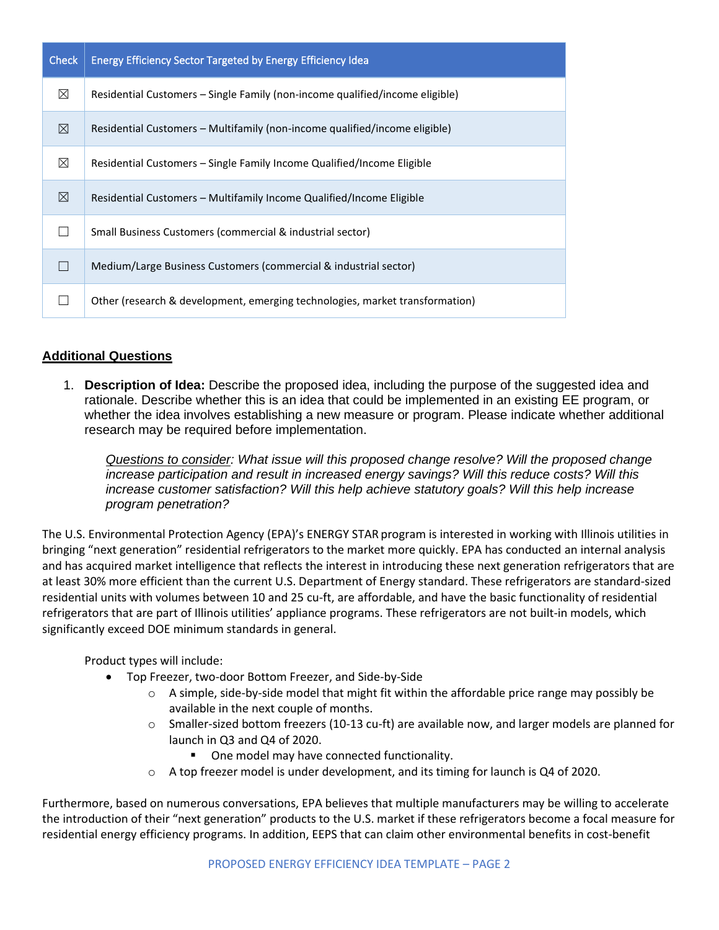| Check       | <b>Energy Efficiency Sector Targeted by Energy Efficiency Idea</b>           |  |
|-------------|------------------------------------------------------------------------------|--|
| ⊠           | Residential Customers – Single Family (non-income qualified/income eligible) |  |
| ⊠           | Residential Customers – Multifamily (non-income qualified/income eligible)   |  |
| $\boxtimes$ | Residential Customers – Single Family Income Qualified/Income Eligible       |  |
| ⊠           | Residential Customers – Multifamily Income Qualified/Income Eligible         |  |
|             | Small Business Customers (commercial & industrial sector)                    |  |
|             | Medium/Large Business Customers (commercial & industrial sector)             |  |
|             | Other (research & development, emerging technologies, market transformation) |  |

## **Additional Questions**

1. **Description of Idea:** Describe the proposed idea, including the purpose of the suggested idea and rationale. Describe whether this is an idea that could be implemented in an existing EE program, or whether the idea involves establishing a new measure or program. Please indicate whether additional research may be required before implementation.

*Questions to consider: What issue will this proposed change resolve? Will the proposed change increase participation and result in increased energy savings? Will this reduce costs? Will this increase customer satisfaction? Will this help achieve statutory goals? Will this help increase program penetration?* 

The U.S. Environmental Protection Agency (EPA)'s ENERGY STAR program is interested in working with Illinois utilities in bringing "next generation" residential refrigerators to the market more quickly. EPA has conducted an internal analysis and has acquired market intelligence that reflects the interest in introducing these next generation refrigerators that are at least 30% more efficient than the current U.S. Department of Energy standard. These refrigerators are standard-sized residential units with volumes between 10 and 25 cu-ft, are affordable, and have the basic functionality of residential refrigerators that are part of Illinois utilities' appliance programs. These refrigerators are not built-in models, which significantly exceed DOE minimum standards in general.

Product types will include:

- Top Freezer, two-door Bottom Freezer, and Side-by-Side
	- $\circ$  A simple, side-by-side model that might fit within the affordable price range may possibly be available in the next couple of months.
	- $\circ$  Smaller-sized bottom freezers (10-13 cu-ft) are available now, and larger models are planned for launch in Q3 and Q4 of 2020.
		- One model may have connected functionality.
	- $\circ$  A top freezer model is under development, and its timing for launch is Q4 of 2020.

Furthermore, based on numerous conversations, EPA believes that multiple manufacturers may be willing to accelerate the introduction of their "next generation" products to the U.S. market if these refrigerators become a focal measure for residential energy efficiency programs. In addition, EEPS that can claim other environmental benefits in cost-benefit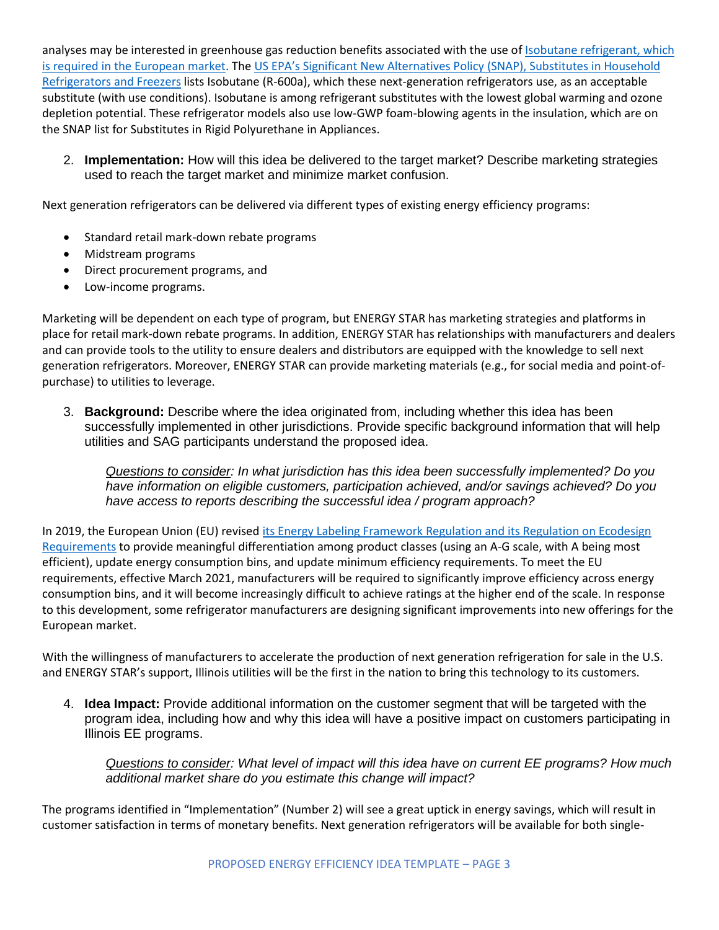analyses may be interested in greenhouse gas reduction benefits associated with the use of **Isobutane refrigerant**, which [is required in the European market.](https://ec.europa.eu/clima/policies/f-gas/alternatives_en) The [US EPA's Significant New Alternatives Policy](https://www.epa.gov/snap/substitutes-household-refrigerators-and-freezers) (SNAP), Substitutes in Household [Refrigerators and Freezers](https://www.epa.gov/snap/substitutes-household-refrigerators-and-freezers) lists Isobutane (R-600a), which these next-generation refrigerators use, as an acceptable substitute (with use conditions). Isobutane is among refrigerant substitutes with the lowest global warming and ozone depletion potential. These refrigerator models also use low-GWP foam-blowing agents in the insulation, which are on the SNAP list for Substitutes in Rigid Polyurethane in Appliances.

2. **Implementation:** How will this idea be delivered to the target market? Describe marketing strategies used to reach the target market and minimize market confusion.

Next generation refrigerators can be delivered via different types of existing energy efficiency programs:

- Standard retail mark-down rebate programs
- Midstream programs
- Direct procurement programs, and
- Low-income programs.

Marketing will be dependent on each type of program, but ENERGY STAR has marketing strategies and platforms in place for retail mark-down rebate programs. In addition, ENERGY STAR has relationships with manufacturers and dealers and can provide tools to the utility to ensure dealers and distributors are equipped with the knowledge to sell next generation refrigerators. Moreover, ENERGY STAR can provide marketing materials (e.g., for social media and point-ofpurchase) to utilities to leverage.

3. **Background:** Describe where the idea originated from, including whether this idea has been successfully implemented in other jurisdictions. Provide specific background information that will help utilities and SAG participants understand the proposed idea.

*Questions to consider: In what jurisdiction has this idea been successfully implemented? Do you have information on eligible customers, participation achieved, and/or savings achieved? Do you have access to reports describing the successful idea / program approach?* 

In 2019, the European Union (EU) revised its Energy Labeling Framework Regulation and its Regulation on Ecodesign [Requirements](https://ec.europa.eu/info/energy-climate-change-environment/standards-tools-and-labels/products-labelling-rules-and-requirements/energy-label-and-ecodesign/energy-efficient-products/fridges-and-freezers_en) to provide meaningful differentiation among product classes (using an A-G scale, with A being most efficient), update energy consumption bins, and update minimum efficiency requirements. To meet the EU requirements, effective March 2021, manufacturers will be required to significantly improve efficiency across energy consumption bins, and it will become increasingly difficult to achieve ratings at the higher end of the scale. In response to this development, some refrigerator manufacturers are designing significant improvements into new offerings for the European market.

With the willingness of manufacturers to accelerate the production of next generation refrigeration for sale in the U.S. and ENERGY STAR's support, Illinois utilities will be the first in the nation to bring this technology to its customers.

4. **Idea Impact:** Provide additional information on the customer segment that will be targeted with the program idea, including how and why this idea will have a positive impact on customers participating in Illinois EE programs.

*Questions to consider: What level of impact will this idea have on current EE programs? How much additional market share do you estimate this change will impact?*

The programs identified in "Implementation" (Number 2) will see a great uptick in energy savings, which will result in customer satisfaction in terms of monetary benefits. Next generation refrigerators will be available for both single